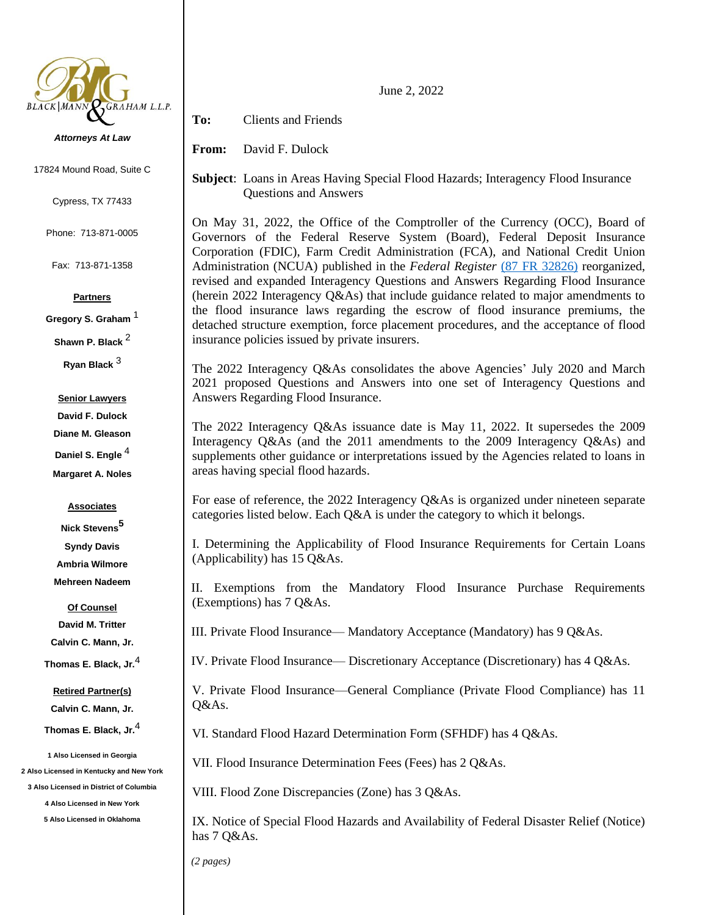

#### *Attorneys At Law*

17824 Mound Road, Suite C

Cypress, TX 77433

Phone: 713-871-0005

Fax: 713-871-1358

## **Partners**

**Gregory S. Graham** <sup>1</sup>

**Shawn P. Black** <sup>2</sup>

**Ryan Black** <sup>3</sup>

## **Senior Lawyers**

**David F. Dulock Diane M. Gleason Daniel S. Engle** <sup>4</sup>

**Margaret A. Noles**

### **Associates**

**Nick Stevens<sup>5</sup> Syndy Davis Ambria Wilmore Mehreen Nadeem**

**Of Counsel David M. Tritter Calvin C. Mann, Jr.**

# **Thomas E. Black, Jr.**<sup>4</sup>

#### **Retired Partner(s)**

**Calvin C. Mann, Jr.**

**Thomas E. Black, Jr.**<sup>4</sup>

**1 Also Licensed in Georgia 2 Also Licensed in Kentucky and New York**

**3 Also Licensed in District of Columbia**

**4 Also Licensed in New York**

**5 Also Licensed in Oklahoma**

June 2, 2022

**To:** Clients and Friends

**From:** David F. Dulock

**Subject**: Loans in Areas Having Special Flood Hazards; Interagency Flood Insurance Questions and Answers

On May 31, 2022, the Office of the Comptroller of the Currency (OCC), Board of Governors of the Federal Reserve System (Board), Federal Deposit Insurance Corporation (FDIC), Farm Credit Administration (FCA), and National Credit Union Administration (NCUA) published in the *Federal Register* [\(87 FR 32826\)](https://www.govinfo.gov/content/pkg/FR-2022-05-31/pdf/2022-10414.pdf) reorganized, revised and expanded Interagency Questions and Answers Regarding Flood Insurance (herein 2022 Interagency Q&As) that include guidance related to major amendments to the flood insurance laws regarding the escrow of flood insurance premiums, the detached structure exemption, force placement procedures, and the acceptance of flood insurance policies issued by private insurers.

The 2022 Interagency Q&As consolidates the above Agencies' July 2020 and March 2021 proposed Questions and Answers into one set of Interagency Questions and Answers Regarding Flood Insurance.

The 2022 Interagency Q&As issuance date is May 11, 2022. It supersedes the 2009 Interagency Q&As (and the 2011 amendments to the 2009 Interagency Q&As) and supplements other guidance or interpretations issued by the Agencies related to loans in areas having special flood hazards.

For ease of reference, the 2022 Interagency Q&As is organized under nineteen separate categories listed below. Each Q&A is under the category to which it belongs.

I. Determining the Applicability of Flood Insurance Requirements for Certain Loans (Applicability) has 15 Q&As.

II. Exemptions from the Mandatory Flood Insurance Purchase Requirements (Exemptions) has 7 Q&As.

III. Private Flood Insurance— Mandatory Acceptance (Mandatory) has 9 Q&As.

IV. Private Flood Insurance— Discretionary Acceptance (Discretionary) has 4 Q&As.

V. Private Flood Insurance—General Compliance (Private Flood Compliance) has 11 Q&As.

VI. Standard Flood Hazard Determination Form (SFHDF) has 4 Q&As.

VII. Flood Insurance Determination Fees (Fees) has 2 Q&As.

VIII. Flood Zone Discrepancies (Zone) has 3 Q&As.

IX. Notice of Special Flood Hazards and Availability of Federal Disaster Relief (Notice) has 7 Q&As.

*(2 pages)*